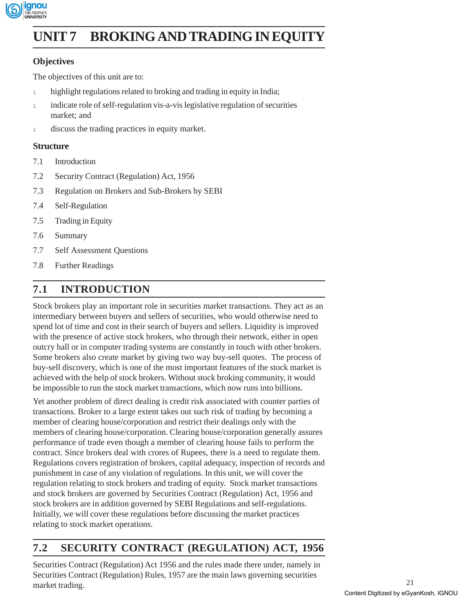

# **UNIT 7 BROKING AND TRADING IN EQUITY**

### **Objectives**

The objectives of this unit are to:

- 1 highlight regulations related to broking and trading in equity in India;
- 1 indicate role of self-regulation vis-a-vis legislative regulation of securities market; and
- <sup>l</sup> discuss the trading practices in equity market.

#### **Structure**

- 7.1 Introduction
- 7.2 Security Contract (Regulation) Act, 1956
- 7.3 Regulation on Brokers and Sub-Brokers by SEBI
- 7.4 Self-Regulation
- 7.5 Trading in Equity
- 7.6 Summary
- 7.7 Self Assessment Questions
- 7.8 Further Readings

# **7.1 INTRODUCTION**

Stock brokers play an important role in securities market transactions. They act as an intermediary between buyers and sellers of securities, who would otherwise need to spend lot of time and cost in their search of buyers and sellers. Liquidity is improved with the presence of active stock brokers, who through their network, either in open outcry hall or in computer trading systems are constantly in touch with other brokers. Some brokers also create market by giving two way buy-sell quotes. The process of buy-sell discovery, which is one of the most important features of the stock market is achieved with the help of stock brokers. Without stock broking community, it would be impossible to run the stock market transactions, which now runs into billions.

Yet another problem of direct dealing is credit risk associated with counter parties of transactions. Broker to a large extent takes out such risk of trading by becoming a member of clearing house/corporation and restrict their dealings only with the members of clearing house/corporation. Clearing house/corporation generally assures performance of trade even though a member of clearing house fails to perform the contract. Since brokers deal with crores of Rupees, there is a need to regulate them. Regulations covers registration of brokers, capital adequacy, inspection of records and punishment in case of any violation of regulations. In this unit, we will cover the regulation relating to stock brokers and trading of equity. Stock market transactions and stock brokers are governed by Securities Contract (Regulation) Act, 1956 and stock brokers are in addition governed by SEBI Regulations and self-regulations. Initially, we will cover these regulations before discussing the market practices relating to stock market operations.

# **7.2 SECURITY CONTRACT (REGULATION) ACT, 1956**

Securities Contract (Regulation) Act 1956 and the rules made there under, namely in Securities Contract (Regulation) Rules, 1957 are the main laws governing securities market trading.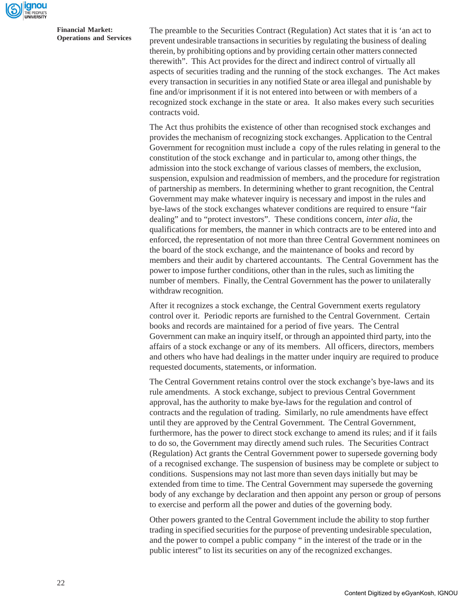

The preamble to the Securities Contract (Regulation) Act states that it is 'an act to prevent undesirable transactions in securities by regulating the business of dealing therein, by prohibiting options and by providing certain other matters connected therewith". This Act provides for the direct and indirect control of virtually all aspects of securities trading and the running of the stock exchanges. The Act makes every transaction in securities in any notified State or area illegal and punishable by fine and/or imprisonment if it is not entered into between or with members of a recognized stock exchange in the state or area. It also makes every such securities contracts void.

The Act thus prohibits the existence of other than recognised stock exchanges and provides the mechanism of recognizing stock exchanges. Application to the Central Government for recognition must include a copy of the rules relating in general to the constitution of the stock exchange and in particular to, among other things, the admission into the stock exchange of various classes of members, the exclusion, suspension, expulsion and readmission of members, and the procedure for registration of partnership as members. In determining whether to grant recognition, the Central Government may make whatever inquiry is necessary and impost in the rules and bye-laws of the stock exchanges whatever conditions are required to ensure "fair dealing" and to "protect investors". These conditions concern, *inter alia*, the qualifications for members, the manner in which contracts are to be entered into and enforced, the representation of not more than three Central Government nominees on the board of the stock exchange, and the maintenance of books and record by members and their audit by chartered accountants. The Central Government has the power to impose further conditions, other than in the rules, such as limiting the number of members. Finally, the Central Government has the power to unilaterally withdraw recognition.

After it recognizes a stock exchange, the Central Government exerts regulatory control over it. Periodic reports are furnished to the Central Government. Certain books and records are maintained for a period of five years. The Central Government can make an inquiry itself, or through an appointed third party, into the affairs of a stock exchange or any of its members. All officers, directors, members and others who have had dealings in the matter under inquiry are required to produce requested documents, statements, or information.

The Central Government retains control over the stock exchange's bye-laws and its rule amendments. A stock exchange, subject to previous Central Government approval, has the authority to make bye-laws for the regulation and control of contracts and the regulation of trading. Similarly, no rule amendments have effect until they are approved by the Central Government. The Central Government, furthermore, has the power to direct stock exchange to amend its rules; and if it fails to do so, the Government may directly amend such rules. The Securities Contract (Regulation) Act grants the Central Government power to supersede governing body of a recognised exchange. The suspension of business may be complete or subject to conditions. Suspensions may not last more than seven days initially but may be extended from time to time. The Central Government may supersede the governing body of any exchange by declaration and then appoint any person or group of persons to exercise and perform all the power and duties of the governing body.

Other powers granted to the Central Government include the ability to stop further trading in specified securities for the purpose of preventing undesirable speculation, and the power to compel a public company " in the interest of the trade or in the public interest" to list its securities on any of the recognized exchanges.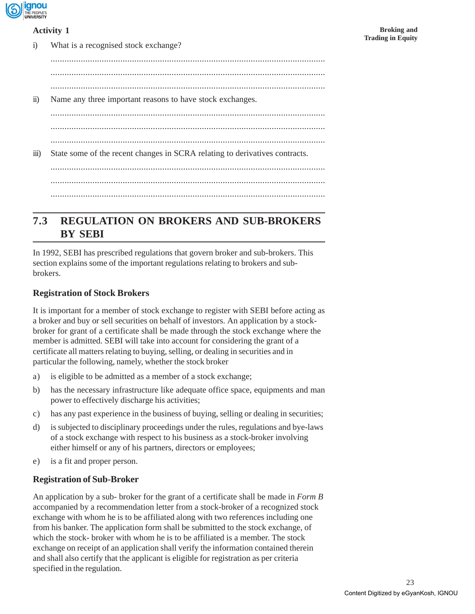

#### **Activity 1**

| 1)                    | What is a recognised stock exchange?                                        |
|-----------------------|-----------------------------------------------------------------------------|
|                       |                                                                             |
|                       |                                                                             |
|                       |                                                                             |
| $\ddot{\text{1}}$     | Name any three important reasons to have stock exchanges.                   |
|                       |                                                                             |
|                       |                                                                             |
|                       |                                                                             |
| $\dddot{\text{iii}})$ | State some of the recent changes in SCRA relating to derivatives contracts. |
|                       |                                                                             |
|                       |                                                                             |
|                       |                                                                             |

# **7.3 REGULATION ON BROKERS AND SUB-BROKERS BY SEBI**

In 1992, SEBI has prescribed regulations that govern broker and sub-brokers. This section explains some of the important regulations relating to brokers and subbrokers.

#### **Registration of Stock Brokers**

It is important for a member of stock exchange to register with SEBI before acting as a broker and buy or sell securities on behalf of investors. An application by a stockbroker for grant of a certificate shall be made through the stock exchange where the member is admitted. SEBI will take into account for considering the grant of a certificate all matters relating to buying, selling, or dealing in securities and in particular the following, namely, whether the stock broker

- a) is eligible to be admitted as a member of a stock exchange;
- b) has the necessary infrastructure like adequate office space, equipments and man power to effectively discharge his activities;
- c) has any past experience in the business of buying, selling or dealing in securities;
- d) is subjected to disciplinary proceedings under the rules, regulations and bye-laws of a stock exchange with respect to his business as a stock-broker involving either himself or any of his partners, directors or employees;
- e) is a fit and proper person.

#### **Registration of Sub-Broker**

An application by a sub- broker for the grant of a certificate shall be made in *Form B* accompanied by a recommendation letter from a stock-broker of a recognized stock exchange with whom he is to be affiliated along with two references including one from his banker. The application form shall be submitted to the stock exchange, of which the stock- broker with whom he is to be affiliated is a member. The stock exchange on receipt of an application shall verify the information contained therein and shall also certify that the applicant is eligible for registration as per criteria specified in the regulation.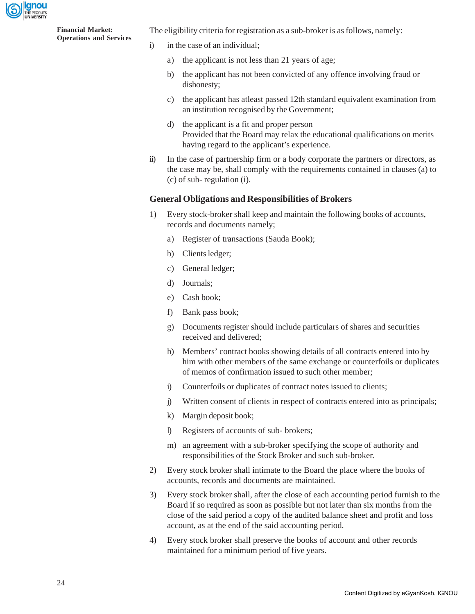ignou

**Financial Market: Operations and Services** The eligibility criteria for registration as a sub-broker is as follows, namely:

- i) in the case of an individual;
	- a) the applicant is not less than 21 years of age;
	- b) the applicant has not been convicted of any offence involving fraud or dishonesty;
	- c) the applicant has atleast passed 12th standard equivalent examination from an institution recognised by the Government;
	- d) the applicant is a fit and proper person Provided that the Board may relax the educational qualifications on merits having regard to the applicant's experience.
- ii) In the case of partnership firm or a body corporate the partners or directors, as the case may be, shall comply with the requirements contained in clauses (a) to (c) of sub- regulation (i).

#### **General Obligations and Responsibilities of Brokers**

- 1) Every stock-broker shall keep and maintain the following books of accounts, records and documents namely;
	- a) Register of transactions (Sauda Book);
	- b) Clients ledger;
	- c) General ledger;
	- d) Journals;
	- e) Cash book;
	- f) Bank pass book;
	- g) Documents register should include particulars of shares and securities received and delivered;
	- h) Members' contract books showing details of all contracts entered into by him with other members of the same exchange or counterfoils or duplicates of memos of confirmation issued to such other member;
	- i) Counterfoils or duplicates of contract notes issued to clients;
	- j) Written consent of clients in respect of contracts entered into as principals;
	- k) Margin deposit book;
	- l) Registers of accounts of sub- brokers;
	- m) an agreement with a sub-broker specifying the scope of authority and responsibilities of the Stock Broker and such sub-broker.
- 2) Every stock broker shall intimate to the Board the place where the books of accounts, records and documents are maintained.
- 3) Every stock broker shall, after the close of each accounting period furnish to the Board if so required as soon as possible but not later than six months from the close of the said period a copy of the audited balance sheet and profit and loss account, as at the end of the said accounting period.
- 4) Every stock broker shall preserve the books of account and other records maintained for a minimum period of five years.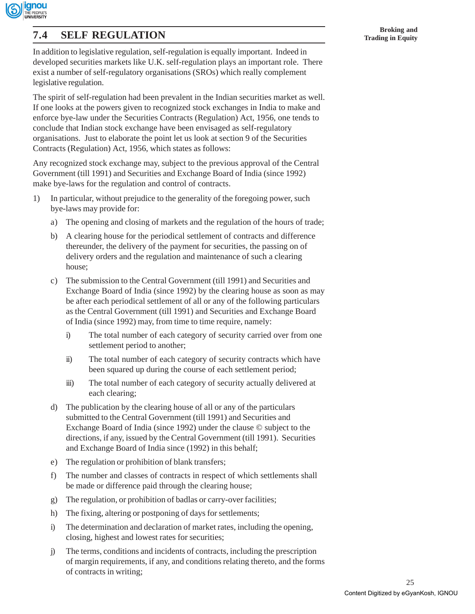

# **Broking and 7.4 SELF REGULATION Trading in Equity**

In addition to legislative regulation, self-regulation is equally important. Indeed in developed securities markets like U.K. self-regulation plays an important role. There exist a number of self-regulatory organisations (SROs) which really complement legislative regulation.

The spirit of self-regulation had been prevalent in the Indian securities market as well. If one looks at the powers given to recognized stock exchanges in India to make and enforce bye-law under the Securities Contracts (Regulation) Act, 1956, one tends to conclude that Indian stock exchange have been envisaged as self-regulatory organisations. Just to elaborate the point let us look at section 9 of the Securities Contracts (Regulation) Act, 1956, which states as follows:

Any recognized stock exchange may, subject to the previous approval of the Central Government (till 1991) and Securities and Exchange Board of India (since 1992) make bye-laws for the regulation and control of contracts.

- 1) In particular, without prejudice to the generality of the foregoing power, such bye-laws may provide for:
	- a) The opening and closing of markets and the regulation of the hours of trade;
	- b) A clearing house for the periodical settlement of contracts and difference thereunder, the delivery of the payment for securities, the passing on of delivery orders and the regulation and maintenance of such a clearing house;
	- c) The submission to the Central Government (till 1991) and Securities and Exchange Board of India (since 1992) by the clearing house as soon as may be after each periodical settlement of all or any of the following particulars as the Central Government (till 1991) and Securities and Exchange Board of India (since 1992) may, from time to time require, namely:
		- i) The total number of each category of security carried over from one settlement period to another;
		- ii) The total number of each category of security contracts which have been squared up during the course of each settlement period;
		- iii) The total number of each category of security actually delivered at each clearing;
	- d) The publication by the clearing house of all or any of the particulars submitted to the Central Government (till 1991) and Securities and Exchange Board of India (since 1992) under the clause © subject to the directions, if any, issued by the Central Government (till 1991). Securities and Exchange Board of India since (1992) in this behalf;
	- e) The regulation or prohibition of blank transfers;
	- f) The number and classes of contracts in respect of which settlements shall be made or difference paid through the clearing house;
	- g) The regulation, or prohibition of badlas or carry-over facilities;
	- h) The fixing, altering or postponing of days for settlements;
	- i) The determination and declaration of market rates, including the opening, closing, highest and lowest rates for securities;
	- j) The terms, conditions and incidents of contracts, including the prescription of margin requirements, if any, and conditions relating thereto, and the forms of contracts in writing;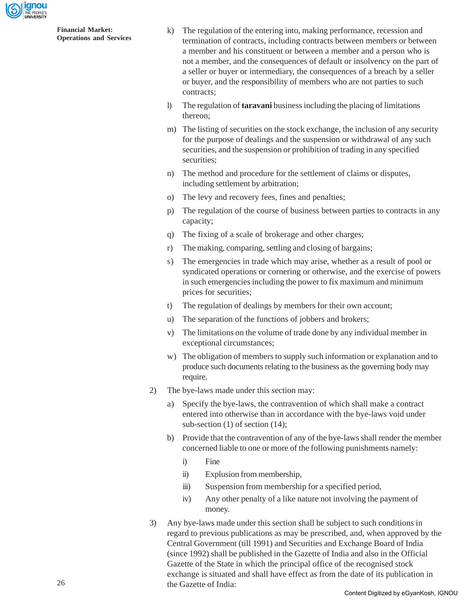

- k) The regulation of the entering into, making performance, recession and termination of contracts, including contracts between members or between a member and his constituent or between a member and a person who is not a member, and the consequences of default or insolvency on the part of a seller or buyer or intermediary, the consequences of a breach by a seller or buyer, and the responsibility of members who are not parties to such contracts;
- l) The regulation of **taravani** business including the placing of limitations thereon;
- m) The listing of securities on the stock exchange, the inclusion of any security for the purpose of dealings and the suspension or withdrawal of any such securities, and the suspension or prohibition of trading in any specified securities;
- n) The method and procedure for the settlement of claims or disputes, including settlement by arbitration;
- o) The levy and recovery fees, fines and penalties;
- p) The regulation of the course of business between parties to contracts in any capacity;
- q) The fixing of a scale of brokerage and other charges;
- r) The making, comparing, settling and closing of bargains;
- s) The emergencies in trade which may arise, whether as a result of pool or syndicated operations or cornering or otherwise, and the exercise of powers in such emergencies including the power to fix maximum and minimum prices for securities;
- t) The regulation of dealings by members for their own account;
- u) The separation of the functions of jobbers and brokers;
- v) The limitations on the volume of trade done by any individual member in exceptional circumstances;
- w) The obligation of members to supply such information or explanation and to produce such documents relating to the business as the governing body may require.
- 2) The bye-laws made under this section may:
	- a) Specify the bye-laws, the contravention of which shall make a contract entered into otherwise than in accordance with the bye-laws void under sub-section (1) of section (14);
	- b) Provide that the contravention of any of the bye-laws shall render the member concerned liable to one or more of the following punishments namely:
		- i) Fine
		- ii) Explusion from membership,
		- iii) Suspension from membership for a specified period,
		- iv) Any other penalty of a like nature not involving the payment of money.
- 3) Any bye-laws made under this section shall be subject to such conditions in regard to previous publications as may be prescribed, and, when approved by the Central Government (till 1991) and Securities and Exchange Board of India (since 1992) shall be published in the Gazette of India and also in the Official Gazette of the State in which the principal office of the recognised stock exchange is situated and shall have effect as from the date of its publication in the Gazette of India: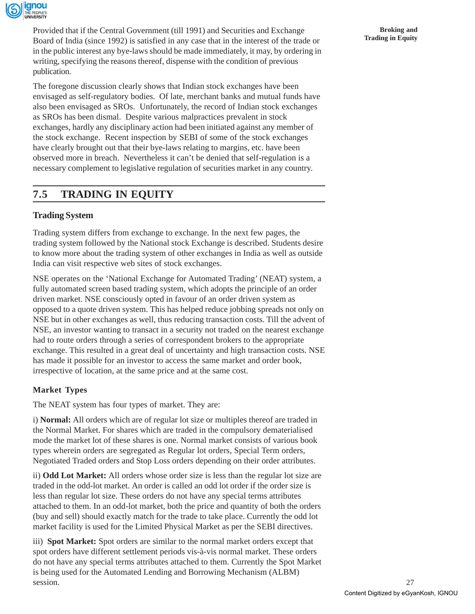

Provided that if the Central Government (till 1991) and Securities and Exchange Board of India (since 1992) is satisfied in any case that in the interest of the trade or in the public interest any bye-laws should be made immediately, it may, by ordering in writing, specifying the reasons thereof, dispense with the condition of previous publication.

The foregone discussion clearly shows that Indian stock exchanges have been envisaged as self-regulatory bodies. Of late, merchant banks and mutual funds have also been envisaged as SROs. Unfortunately, the record of Indian stock exchanges as SROs has been dismal. Despite various malpractices prevalent in stock exchanges, hardly any disciplinary action had been initiated against any member of the stock exchange. Recent inspection by SEBI of some of the stock exchanges have clearly brought out that their bye-laws relating to margins, etc. have been observed more in breach. Nevertheless it can't be denied that self-regulation is a necessary complement to legislative regulation of securities market in any country.

# **7.5 TRADING IN EQUITY**

### **Trading System**

Trading system differs from exchange to exchange. In the next few pages, the trading system followed by the National stock Exchange is described. Students desire to know more about the trading system of other exchanges in India as well as outside India can visit respective web sites of stock exchanges.

NSE operates on the 'National Exchange for Automated Trading' (NEAT) system, a fully automated screen based trading system, which adopts the principle of an order driven market. NSE consciously opted in favour of an order driven system as opposed to a quote driven system. This has helped reduce jobbing spreads not only on NSE but in other exchanges as well, thus reducing transaction costs. Till the advent of NSE, an investor wanting to transact in a security not traded on the nearest exchange had to route orders through a series of correspondent brokers to the appropriate exchange. This resulted in a great deal of uncertainty and high transaction costs. NSE has made it possible for an investor to access the same market and order book, irrespective of location, at the same price and at the same cost.

#### **Market Types**

The NEAT system has four types of market. They are:

i) **Normal:** All orders which are of regular lot size or multiples thereof are traded in the Normal Market. For shares which are traded in the compulsory dematerialised mode the market lot of these shares is one. Normal market consists of various book types wherein orders are segregated as Regular lot orders, Special Term orders, Negotiated Traded orders and Stop Loss orders depending on their order attributes.

ii) **Odd Lot Market:** All orders whose order size is less than the regular lot size are traded in the odd-lot market. An order is called an odd lot order if the order size is less than regular lot size. These orders do not have any special terms attributes attached to them. In an odd-lot market, both the price and quantity of both the orders (buy and sell) should exactly match for the trade to take place. Currently the odd lot market facility is used for the Limited Physical Market as per the SEBI directives.

iii) **Spot Market:** Spot orders are similar to the normal market orders except that spot orders have different settlement periods vis-à-vis normal market. These orders do not have any special terms attributes attached to them. Currently the Spot Market is being used for the Automated Lending and Borrowing Mechanism (ALBM) session.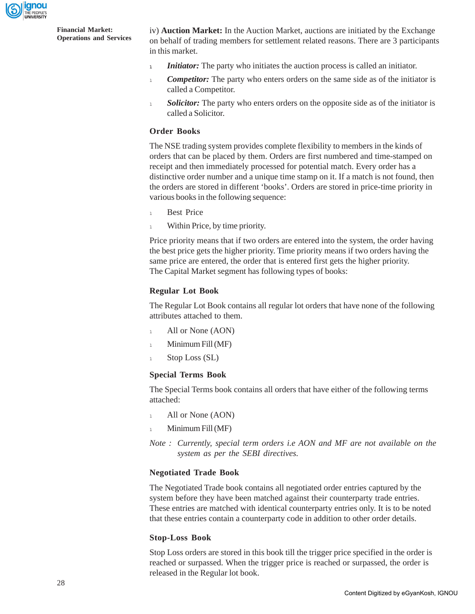

iv) **Auction Market:** In the Auction Market, auctions are initiated by the Exchange on behalf of trading members for settlement related reasons. There are 3 participants in this market.

- **<sup>l</sup>** *Initiator:* The party who initiates the auction process is called an initiator.
- *Competitor:* The party who enters orders on the same side as of the initiator is called a Competitor.
- **Solicitor:** The party who enters orders on the opposite side as of the initiator is called a Solicitor.

#### **Order Books**

The NSE trading system provides complete flexibility to members in the kinds of orders that can be placed by them. Orders are first numbered and time-stamped on receipt and then immediately processed for potential match. Every order has a distinctive order number and a unique time stamp on it. If a match is not found, then the orders are stored in different 'books'. Orders are stored in price-time priority in various books in the following sequence:

- 1 Best Price
- <sup>1</sup> Within Price, by time priority.

Price priority means that if two orders are entered into the system, the order having the best price gets the higher priority. Time priority means if two orders having the same price are entered, the order that is entered first gets the higher priority. The Capital Market segment has following types of books:

#### **Regular Lot Book**

The Regular Lot Book contains all regular lot orders that have none of the following attributes attached to them.

- 1 All or None (AON)
- $\frac{1}{1}$  Minimum Fill (MF)
- 1 Stop Loss (SL)

#### **Special Terms Book**

The Special Terms book contains all orders that have either of the following terms attached:

- 1 All or None (AON)
- $\sim$  Minimum Fill (MF)
- *Note : Currently, special term orders i.e AON and MF are not available on the system as per the SEBI directives.*

#### **Negotiated Trade Book**

The Negotiated Trade book contains all negotiated order entries captured by the system before they have been matched against their counterparty trade entries. These entries are matched with identical counterparty entries only. It is to be noted that these entries contain a counterparty code in addition to other order details.

#### **Stop-Loss Book**

Stop Loss orders are stored in this book till the trigger price specified in the order is reached or surpassed. When the trigger price is reached or surpassed, the order is released in the Regular lot book.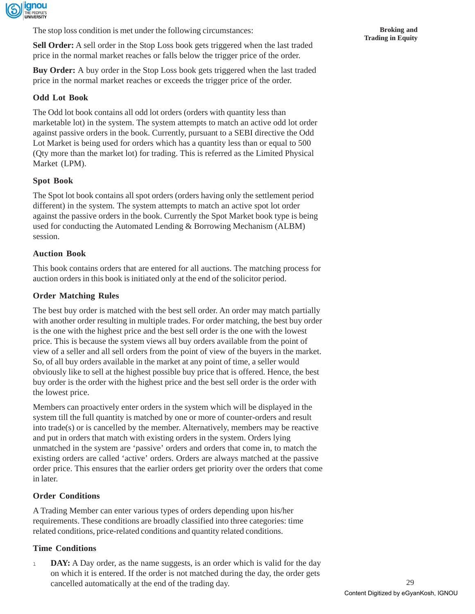

The stop loss condition is met under the following circumstances:

**Sell Order:** A sell order in the Stop Loss book gets triggered when the last traded price in the normal market reaches or falls below the trigger price of the order.

**Buy Order:** A buy order in the Stop Loss book gets triggered when the last traded price in the normal market reaches or exceeds the trigger price of the order.

#### **Odd Lot Book**

The Odd lot book contains all odd lot orders (orders with quantity less than marketable lot) in the system. The system attempts to match an active odd lot order against passive orders in the book. Currently, pursuant to a SEBI directive the Odd Lot Market is being used for orders which has a quantity less than or equal to 500 (Qty more than the market lot) for trading. This is referred as the Limited Physical Market (LPM).

#### **Spot Book**

The Spot lot book contains all spot orders (orders having only the settlement period different) in the system. The system attempts to match an active spot lot order against the passive orders in the book. Currently the Spot Market book type is being used for conducting the Automated Lending & Borrowing Mechanism (ALBM) session.

#### **Auction Book**

This book contains orders that are entered for all auctions. The matching process for auction orders in this book is initiated only at the end of the solicitor period.

#### **Order Matching Rules**

The best buy order is matched with the best sell order. An order may match partially with another order resulting in multiple trades. For order matching, the best buy order is the one with the highest price and the best sell order is the one with the lowest price. This is because the system views all buy orders available from the point of view of a seller and all sell orders from the point of view of the buyers in the market. So, of all buy orders available in the market at any point of time, a seller would obviously like to sell at the highest possible buy price that is offered. Hence, the best buy order is the order with the highest price and the best sell order is the order with the lowest price.

Members can proactively enter orders in the system which will be displayed in the system till the full quantity is matched by one or more of counter-orders and result into trade(s) or is cancelled by the member. Alternatively, members may be reactive and put in orders that match with existing orders in the system. Orders lying unmatched in the system are 'passive' orders and orders that come in, to match the existing orders are called 'active' orders. Orders are always matched at the passive order price. This ensures that the earlier orders get priority over the orders that come in later.

#### **Order Conditions**

A Trading Member can enter various types of orders depending upon his/her requirements. These conditions are broadly classified into three categories: time related conditions, price-related conditions and quantity related conditions.

#### **Time Conditions**

1 **DAY:** A Day order, as the name suggests, is an order which is valid for the day on which it is entered. If the order is not matched during the day, the order gets cancelled automatically at the end of the trading day.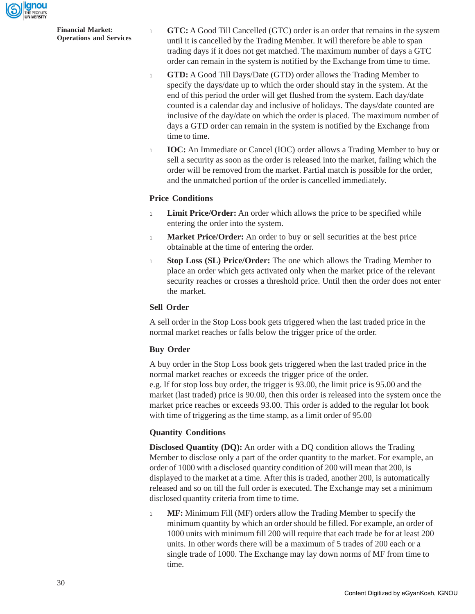

<sup>l</sup> **GTC:** A Good Till Cancelled (GTC) order is an order that remains in the system until it is cancelled by the Trading Member. It will therefore be able to span trading days if it does not get matched. The maximum number of days a GTC order can remain in the system is notified by the Exchange from time to time.

- <sup>l</sup> **GTD:** A Good Till Days/Date (GTD) order allows the Trading Member to specify the days/date up to which the order should stay in the system. At the end of this period the order will get flushed from the system. Each day/date counted is a calendar day and inclusive of holidays. The days/date counted are inclusive of the day/date on which the order is placed. The maximum number of days a GTD order can remain in the system is notified by the Exchange from time to time.
- 1 **IOC:** An Immediate or Cancel (IOC) order allows a Trading Member to buy or sell a security as soon as the order is released into the market, failing which the order will be removed from the market. Partial match is possible for the order, and the unmatched portion of the order is cancelled immediately.

#### **Price Conditions**

- 1 **Limit Price/Order:** An order which allows the price to be specified while entering the order into the system.
- <sup>l</sup> **Market Price/Order:** An order to buy or sell securities at the best price obtainable at the time of entering the order.
- <sup>l</sup> **Stop Loss (SL) Price/Order:** The one which allows the Trading Member to place an order which gets activated only when the market price of the relevant security reaches or crosses a threshold price. Until then the order does not enter the market.

#### **Sell Order**

A sell order in the Stop Loss book gets triggered when the last traded price in the normal market reaches or falls below the trigger price of the order.

#### **Buy Order**

A buy order in the Stop Loss book gets triggered when the last traded price in the normal market reaches or exceeds the trigger price of the order. e.g. If for stop loss buy order, the trigger is 93.00, the limit price is 95.00 and the market (last traded) price is 90.00, then this order is released into the system once the market price reaches or exceeds 93.00. This order is added to the regular lot book with time of triggering as the time stamp, as a limit order of 95.00

#### **Quantity Conditions**

**Disclosed Quantity (DQ):** An order with a DQ condition allows the Trading Member to disclose only a part of the order quantity to the market. For example, an order of 1000 with a disclosed quantity condition of 200 will mean that 200, is displayed to the market at a time. After this is traded, another 200, is automatically released and so on till the full order is executed. The Exchange may set a minimum disclosed quantity criteria from time to time.

<sup>l</sup> **MF:** Minimum Fill (MF) orders allow the Trading Member to specify the minimum quantity by which an order should be filled. For example, an order of 1000 units with minimum fill 200 will require that each trade be for at least 200 units. In other words there will be a maximum of 5 trades of 200 each or a single trade of 1000. The Exchange may lay down norms of MF from time to time.